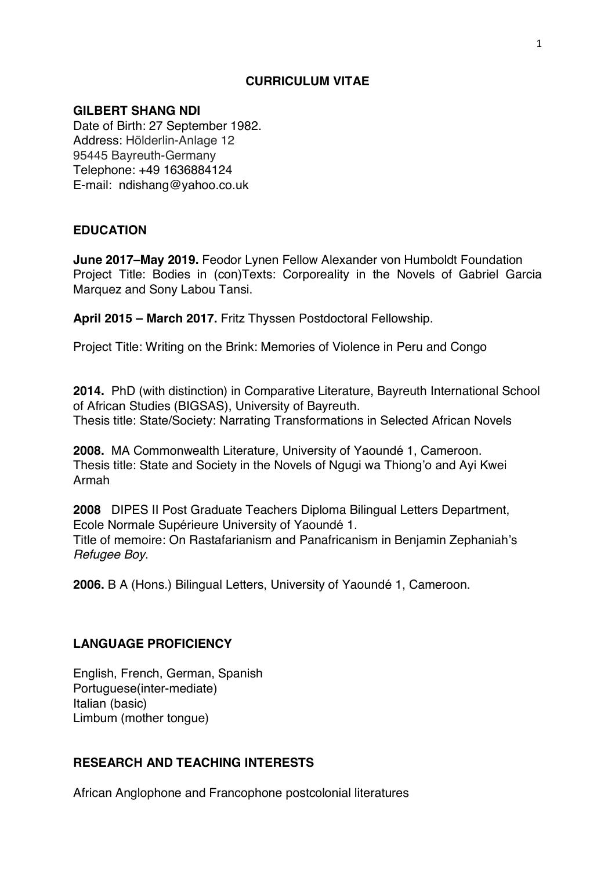### **CURRICULUM VITAE**

### **GILBERT SHANG NDI**

Date of Birth: 27 September 1982. Address: Hölderlin-Anlage 12 95445 Bayreuth-Germany Telephone: +49 1636884124 E-mail: ndishang@yahoo.co.uk

### **EDUCATION**

**June 2017–May 2019.** Feodor Lynen Fellow Alexander von Humboldt Foundation Project Title: Bodies in (con)Texts: Corporeality in the Novels of Gabriel Garcia Marquez and Sony Labou Tansi.

**April 2015 – March 2017.** Fritz Thyssen Postdoctoral Fellowship.

Project Title: Writing on the Brink: Memories of Violence in Peru and Congo

**2014.** PhD (with distinction) in Comparative Literature, Bayreuth International School of African Studies (BIGSAS), University of Bayreuth. Thesis title: State/Society: Narrating Transformations in Selected African Novels

**2008.** MA Commonwealth Literature*,* University of Yaoundé 1, Cameroon. Thesis title: State and Society in the Novels of Ngugi wa Thiong'o and Ayi Kwei Armah

**2008** DIPES II Post Graduate Teachers Diploma Bilingual Letters Department, Ecole Normale Supérieure University of Yaoundé 1. Title of memoire: On Rastafarianism and Panafricanism in Benjamin Zephaniah's *Refugee Boy*.

**2006.** B A (Hons.) Bilingual Letters, University of Yaoundé 1, Cameroon.

### **LANGUAGE PROFICIENCY**

English, French, German, Spanish Portuguese(inter-mediate) Italian (basic) Limbum (mother tongue)

### **RESEARCH AND TEACHING INTERESTS**

African Anglophone and Francophone postcolonial literatures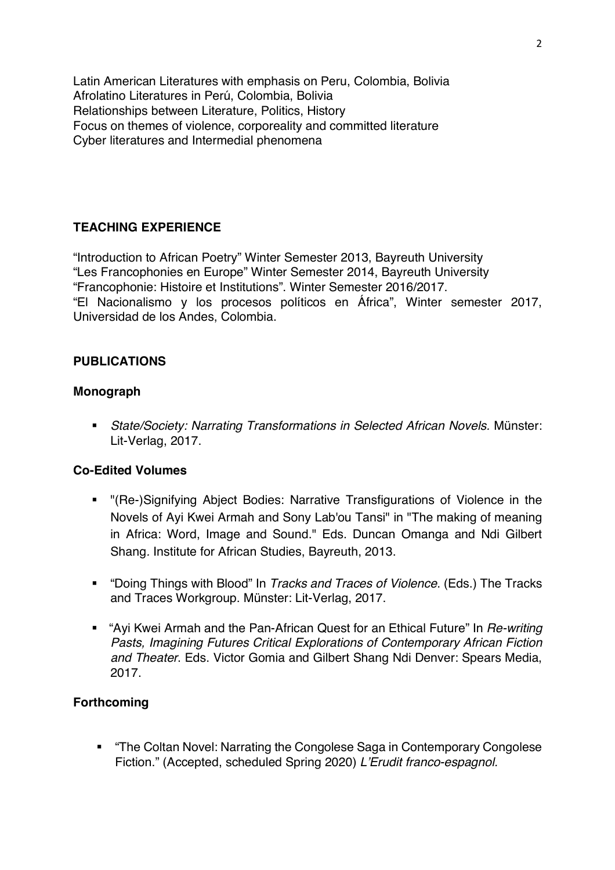Latin American Literatures with emphasis on Peru, Colombia, Bolivia Afrolatino Literatures in Perú, Colombia, Bolivia Relationships between Literature, Politics, History Focus on themes of violence, corporeality and committed literature Cyber literatures and Intermedial phenomena

# **TEACHING EXPERIENCE**

"Introduction to African Poetry" Winter Semester 2013, Bayreuth University "Les Francophonies en Europe" Winter Semester 2014, Bayreuth University "Francophonie: Histoire et Institutions". Winter Semester 2016/2017. "El Nacionalismo y los procesos políticos en África", Winter semester 2017, Universidad de los Andes, Colombia.

### **PUBLICATIONS**

### **Monograph**

§ *State/Society: Narrating Transformations in Selected African Novels.* Münster: Lit-Verlag, 2017.

# **Co-Edited Volumes**

- § "(Re-)Signifying Abject Bodies: Narrative Transfigurations of Violence in the Novels of Ayi Kwei Armah and Sony Lab'ou Tansi" in "The making of meaning in Africa: Word, Image and Sound." Eds. Duncan Omanga and Ndi Gilbert Shang*.* Institute for African Studies, Bayreuth, 2013.
- § "Doing Things with Blood" In *Tracks and Traces of Violence*. (Eds.) The Tracks and Traces Workgroup. Münster: Lit-Verlag, 2017.
- § "Ayi Kwei Armah and the Pan-African Quest for an Ethical Future" In *Re-writing Pasts, Imagining Futures Critical Explorations of Contemporary African Fiction and Theater*. Eds. Victor Gomia and Gilbert Shang Ndi Denver: Spears Media, 2017.

# **Forthcoming**

§ "The Coltan Novel: Narrating the Congolese Saga in Contemporary Congolese Fiction." (Accepted, scheduled Spring 2020) *L'Erudit franco-espagnol.*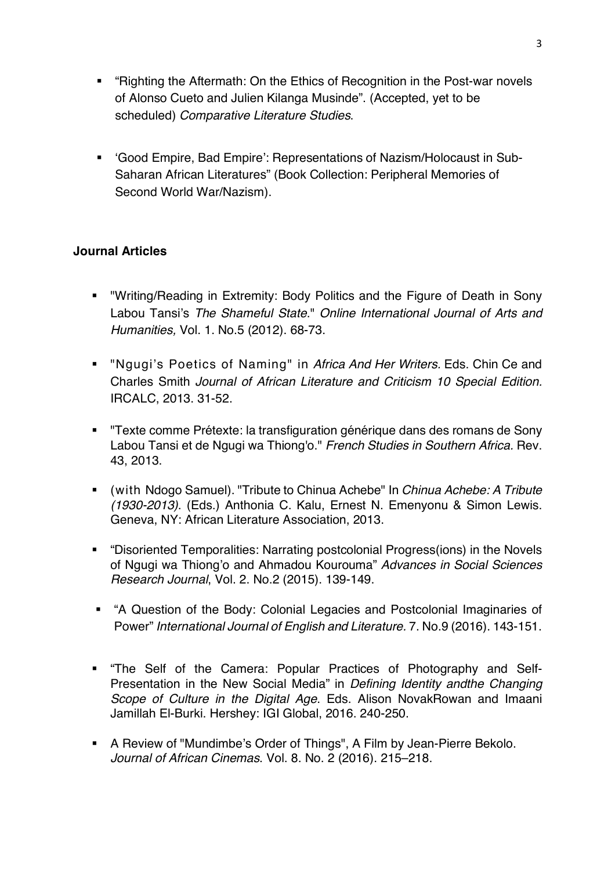- "Righting the Aftermath: On the Ethics of Recognition in the Post-war novels of Alonso Cueto and Julien Kilanga Musinde". (Accepted, yet to be scheduled) *Comparative Literature Studies*.
- § 'Good Empire, Bad Empire': Representations of Nazism/Holocaust in Sub-Saharan African Literatures" (Book Collection: Peripheral Memories of Second World War/Nazism).

# **Journal Articles**

- § "Writing/Reading in Extremity: Body Politics and the Figure of Death in Sony Labou Tansi's *The Shameful State*." *Online International Journal of Arts and Humanities,* Vol. 1. No.5 (2012). 68-73.
- § "Ngugi's Poetics of Naming" in *Africa And Her Writers.* Eds. Chin Ce and Charles Smith *Journal of African Literature and Criticism 10 Special Edition.*  IRCALC, 2013. 31-52.
- § "Texte comme Prétexte: la transfiguration générique dans des romans de Sony Labou Tansi et de Ngugi wa Thiong'o." *French Studies in Southern Africa.* Rev. 43, 2013.
- (with Ndogo Samuel). "Tribute to Chinua Achebe" In *Chinua Achebe: A Tribute (1930-2013)*. (Eds.) Anthonia C. Kalu, Ernest N. Emenyonu & Simon Lewis. Geneva, NY: African Literature Association, 2013.
- § "Disoriented Temporalities: Narrating postcolonial Progress(ions) in the Novels of Ngugi wa Thiong'o and Ahmadou Kourouma" *Advances in Social Sciences Research Journal*, Vol. 2. No.2 (2015). 139-149.
- § "A Question of the Body: Colonial Legacies and Postcolonial Imaginaries of Power" *International Journal of English and Literature.* 7. No.9 (2016). 143-151.
- § "The Self of the Camera: Popular Practices of Photography and Self-Presentation in the New Social Media" in *Defining Identity andthe Changing Scope of Culture in the Digital Age*. Eds. Alison NovakRowan and Imaani Jamillah El-Burki. Hershey: IGI Global, 2016. 240-250.
- A Review of "Mundimbe's Order of Things", A Film by Jean-Pierre Bekolo. *Journal of African Cinemas*. Vol. 8. No. 2 (2016). 215–218.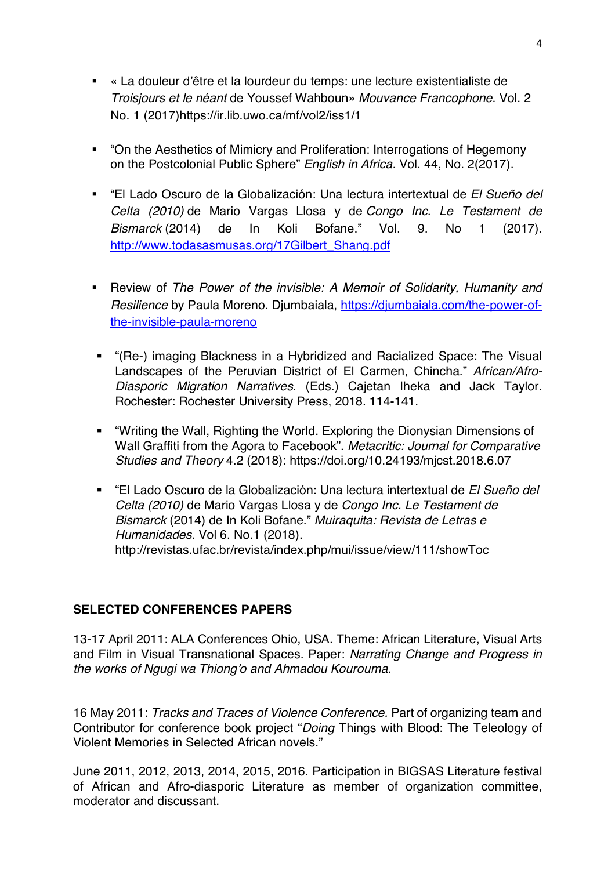- « La douleur d'être et la lourdeur du temps: une lecture existentialiste de *Troisjours et le néant* de Youssef Wahboun» *Mouvance Francophone*. Vol. 2 No. 1 (2017)https://ir.lib.uwo.ca/mf/vol2/iss1/1
- "On the Aesthetics of Mimicry and Proliferation: Interrogations of Hegemony on the Postcolonial Public Sphere" *English in Africa.* Vol. 44, No. 2(2017).
- "El Lado Oscuro de la Globalización: Una lectura intertextual de *El Sueño del Celta (2010)* de Mario Vargas Llosa y de *Congo Inc. Le Testament de Bismarck* (2014) de In Koli Bofane." Vol. 9. No 1 (2017). http://www.todasasmusas.org/17Gilbert\_Shang.pdf
- § Review of *The Power of the invisible: A Memoir of Solidarity, Humanity and Resilience* by Paula Moreno. Djumbaiala, https://djumbaiala.com/the-power-ofthe-invisible-paula-moreno
- § "(Re-) imaging Blackness in a Hybridized and Racialized Space: The Visual Landscapes of the Peruvian District of El Carmen, Chincha." *African/Afro-Diasporic Migration Narratives*. (Eds.) Cajetan Iheka and Jack Taylor. Rochester: Rochester University Press, 2018. 114-141.
- § "Writing the Wall, Righting the World. Exploring the Dionysian Dimensions of Wall Graffiti from the Agora to Facebook". *Metacritic: Journal for Comparative Studies and Theory* 4.2 (2018): https://doi.org/10.24193/mjcst.2018.6.07
- § "El Lado Oscuro de la Globalización: Una lectura intertextual de *El Sueño del Celta (2010)* de Mario Vargas Llosa y de *Congo Inc. Le Testament de Bismarck* (2014) de In Koli Bofane." *Muiraquita: Revista de Letras e Humanidades.* Vol 6. No.1 (2018). http://revistas.ufac.br/revista/index.php/mui/issue/view/111/showToc

# **SELECTED CONFERENCES PAPERS**

13-17 April 2011: ALA Conferences Ohio, USA. Theme: African Literature, Visual Arts and Film in Visual Transnational Spaces. Paper: *Narrating Change and Progress in the works of Ngugi wa Thiong'o and Ahmadou Kourouma*.

16 May 2011: *Tracks and Traces of Violence Conference.* Part of organizing team and Contributor for conference book project "*Doing* Things with Blood: The Teleology of Violent Memories in Selected African novels."

June 2011, 2012, 2013, 2014, 2015, 2016. Participation in BIGSAS Literature festival of African and Afro-diasporic Literature as member of organization committee, moderator and discussant.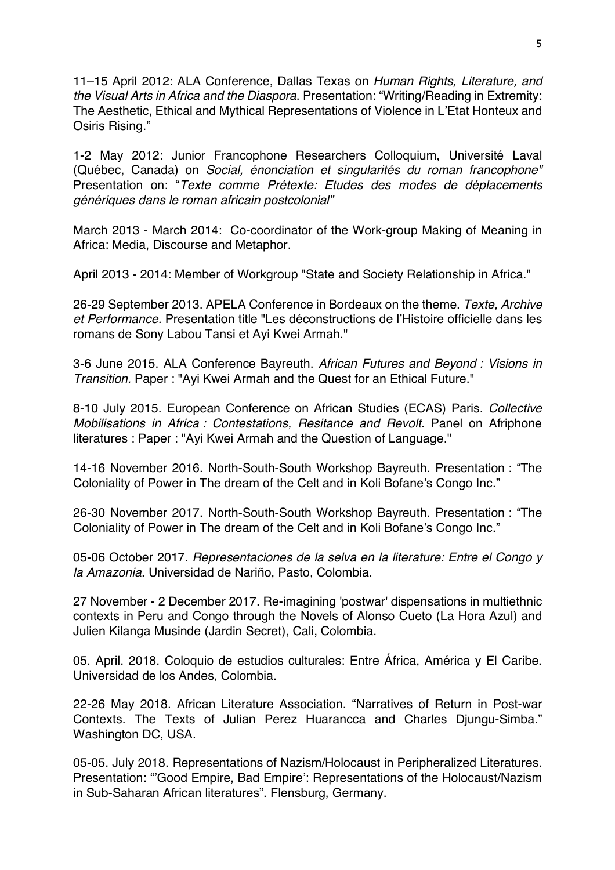11–15 April 2012: ALA Conference, Dallas Texas on *Human Rights, Literature, and the Visual Arts in Africa and the Diaspora*. Presentation: "Writing/Reading in Extremity: The Aesthetic, Ethical and Mythical Representations of Violence in L'Etat Honteux and Osiris Rising."

1-2 May 2012: Junior Francophone Researchers Colloquium, Université Laval (Québec, Canada) on *Social, énonciation et singularités du roman francophone"*  Presentation on: "*Texte comme Prétexte: Etudes des modes de déplacements génériques dans le roman africain postcolonial"*

March 2013 - March 2014: Co-coordinator of the Work-group Making of Meaning in Africa: Media, Discourse and Metaphor.

April 2013 - 2014: Member of Workgroup "State and Society Relationship in Africa."

26-29 September 2013. APELA Conference in Bordeaux on the theme. *Texte, Archive et Performance.* Presentation title "Les déconstructions de l'Histoire officielle dans les romans de Sony Labou Tansi et Ayi Kwei Armah."

3-6 June 2015. ALA Conference Bayreuth. *African Futures and Beyond : Visions in Transition.* Paper : "Ayi Kwei Armah and the Quest for an Ethical Future."

8-10 July 2015. European Conference on African Studies (ECAS) Paris. *Collective Mobilisations in Africa : Contestations, Resitance and Revolt.* Panel on Afriphone literatures : Paper : "Ayi Kwei Armah and the Question of Language."

14-16 November 2016. North-South-South Workshop Bayreuth. Presentation : "The Coloniality of Power in The dream of the Celt and in Koli Bofane's Congo Inc."

26-30 November 2017. North-South-South Workshop Bayreuth. Presentation : "The Coloniality of Power in The dream of the Celt and in Koli Bofane's Congo Inc."

05-06 October 2017. *Representaciones de la selva en la literature: Entre el Congo y la Amazonia*. Universidad de Nariño, Pasto, Colombia.

27 November - 2 December 2017. Re-imagining 'postwar' dispensations in multiethnic contexts in Peru and Congo through the Novels of Alonso Cueto (La Hora Azul) and Julien Kilanga Musinde (Jardin Secret), Cali, Colombia.

05. April. 2018. Coloquio de estudios culturales: Entre África, América y El Caribe. Universidad de los Andes, Colombia.

22-26 May 2018. African Literature Association. "Narratives of Return in Post-war Contexts. The Texts of Julian Perez Huarancca and Charles Djungu-Simba." Washington DC, USA.

05-05. July 2018. Representations of Nazism/Holocaust in Peripheralized Literatures. Presentation: "'Good Empire, Bad Empire': Representations of the Holocaust/Nazism in Sub-Saharan African literatures". Flensburg, Germany.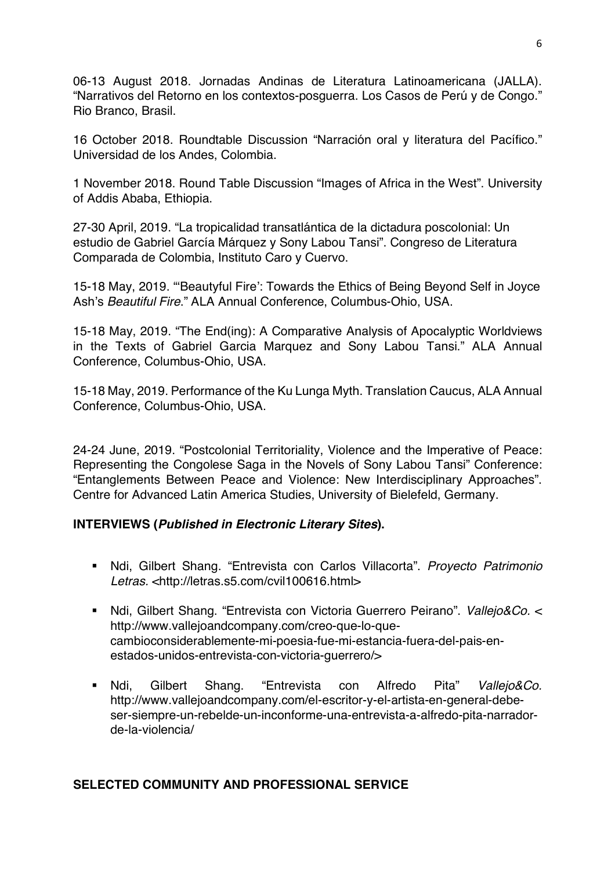06-13 August 2018. Jornadas Andinas de Literatura Latinoamericana (JALLA). "Narrativos del Retorno en los contextos-posguerra. Los Casos de Perú y de Congo." Rio Branco, Brasil.

16 October 2018. Roundtable Discussion "Narración oral y literatura del Pacífico." Universidad de los Andes, Colombia.

1 November 2018. Round Table Discussion "Images of Africa in the West". University of Addis Ababa, Ethiopia.

27-30 April, 2019. "La tropicalidad transatlántica de la dictadura poscolonial: Un estudio de Gabriel García Márquez y Sony Labou Tansi". Congreso de Literatura Comparada de Colombia, Instituto Caro y Cuervo.

15-18 May, 2019. "'Beautyful Fire': Towards the Ethics of Being Beyond Self in Joyce Ash's *Beautiful Fire*." ALA Annual Conference, Columbus-Ohio, USA.

15-18 May, 2019. "The End(ing): A Comparative Analysis of Apocalyptic Worldviews in the Texts of Gabriel Garcia Marquez and Sony Labou Tansi." ALA Annual Conference, Columbus-Ohio, USA.

15-18 May, 2019. Performance of the Ku Lunga Myth. Translation Caucus, ALA Annual Conference, Columbus-Ohio, USA.

24-24 June, 2019. "Postcolonial Territoriality, Violence and the Imperative of Peace: Representing the Congolese Saga in the Novels of Sony Labou Tansi" Conference: "Entanglements Between Peace and Violence: New Interdisciplinary Approaches". Centre for Advanced Latin America Studies, University of Bielefeld, Germany.

# **INTERVIEWS (***Published in Electronic Literary Sites***).**

- § Ndi, Gilbert Shang. "Entrevista con Carlos Villacorta". *Proyecto Patrimonio Letras.* <http://letras.s5.com/cvil100616.html>
- § Ndi, Gilbert Shang. "Entrevista con Victoria Guerrero Peirano". *Vallejo&Co.* < http://www.vallejoandcompany.com/creo-que-lo-quecambioconsiderablemente-mi-poesia-fue-mi-estancia-fuera-del-pais-enestados-unidos-entrevista-con-victoria-guerrero/>
- § Ndi, Gilbert Shang. "Entrevista con Alfredo Pita" *Vallejo&Co.* http://www.vallejoandcompany.com/el-escritor-y-el-artista-en-general-debeser-siempre-un-rebelde-un-inconforme-una-entrevista-a-alfredo-pita-narradorde-la-violencia/

# **SELECTED COMMUNITY AND PROFESSIONAL SERVICE**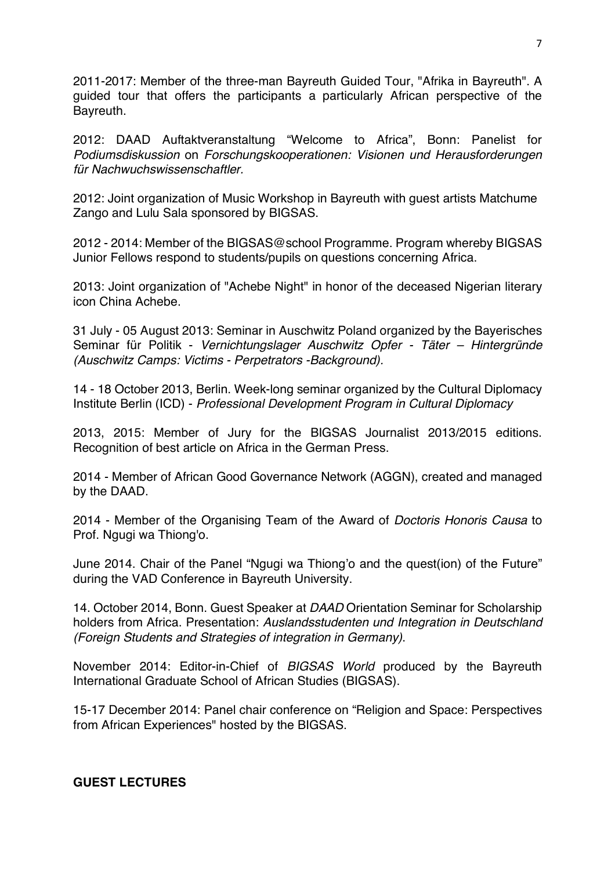2011-2017: Member of the three-man Bayreuth Guided Tour, "Afrika in Bayreuth". A guided tour that offers the participants a particularly African perspective of the Bayreuth.

2012: DAAD Auftaktveranstaltung "Welcome to Africa", Bonn: Panelist for *Podiumsdiskussion* on *Forschungskooperationen: Visionen und Herausforderungen für Nachwuchswissenschaftler.*

2012: Joint organization of Music Workshop in Bayreuth with guest artists Matchume Zango and Lulu Sala sponsored by BIGSAS.

2012 - 2014: Member of the BIGSAS@school Programme. Program whereby BIGSAS Junior Fellows respond to students/pupils on questions concerning Africa.

2013: Joint organization of "Achebe Night" in honor of the deceased Nigerian literary icon China Achebe.

31 July - 05 August 2013: Seminar in Auschwitz Poland organized by the Bayerisches Seminar für Politik - *Vernichtungslager Auschwitz Opfer - Täter – Hintergründe (Auschwitz Camps: Victims - Perpetrators -Background).*

14 - 18 October 2013, Berlin. Week-long seminar organized by the Cultural Diplomacy Institute Berlin (ICD) - *Professional Development Program in Cultural Diplomacy*

2013, 2015: Member of Jury for the BIGSAS Journalist 2013/2015 editions. Recognition of best article on Africa in the German Press.

2014 - Member of African Good Governance Network (AGGN), created and managed by the DAAD.

2014 - Member of the Organising Team of the Award of *Doctoris Honoris Causa* to Prof. Ngugi wa Thiong'o.

June 2014. Chair of the Panel "Ngugi wa Thiong'o and the quest(ion) of the Future" during the VAD Conference in Bayreuth University.

14. October 2014, Bonn. Guest Speaker at *DAAD* Orientation Seminar for Scholarship holders from Africa. Presentation: *Auslandsstudenten und Integration in Deutschland (Foreign Students and Strategies of integration in Germany)*.

November 2014: Editor-in-Chief of *BIGSAS World* produced by the Bayreuth International Graduate School of African Studies (BIGSAS).

15-17 December 2014: Panel chair conference on "Religion and Space: Perspectives from African Experiences" hosted by the BIGSAS.

### **GUEST LECTURES**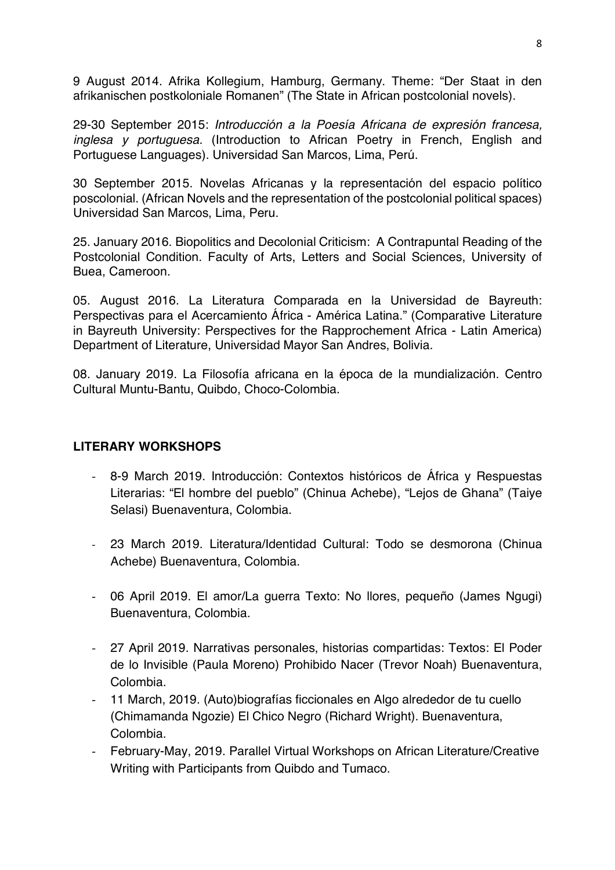9 August 2014. Afrika Kollegium, Hamburg, Germany. Theme: "Der Staat in den afrikanischen postkoloniale Romanen" (The State in African postcolonial novels).

29-30 September 2015: *Introducción a la Poesía Africana de expresión francesa, inglesa y portuguesa.* (Introduction to African Poetry in French, English and Portuguese Languages). Universidad San Marcos, Lima, Perú.

30 September 2015. Novelas Africanas y la representación del espacio político poscolonial. (African Novels and the representation of the postcolonial political spaces) Universidad San Marcos, Lima, Peru.

25. January 2016. Biopolitics and Decolonial Criticism: A Contrapuntal Reading of the Postcolonial Condition. Faculty of Arts, Letters and Social Sciences, University of Buea, Cameroon.

05. August 2016. La Literatura Comparada en la Universidad de Bayreuth: Perspectivas para el Acercamiento África - América Latina." (Comparative Literature in Bayreuth University: Perspectives for the Rapprochement Africa - Latin America) Department of Literature, Universidad Mayor San Andres, Bolivia.

08. January 2019. La Filosofía africana en la época de la mundialización. Centro Cultural Muntu-Bantu, Quibdo, Choco-Colombia.

### **LITERARY WORKSHOPS**

- 8-9 March 2019. Introducción: Contextos históricos de África y Respuestas Literarias: "El hombre del pueblo" (Chinua Achebe), "Lejos de Ghana" (Taiye Selasi) Buenaventura, Colombia.
- 23 March 2019. Literatura/Identidad Cultural: Todo se desmorona (Chinua Achebe) Buenaventura, Colombia.
- 06 April 2019. El amor/La guerra Texto: No llores, pequeño (James Ngugi) Buenaventura, Colombia.
- 27 April 2019. Narrativas personales, historias compartidas: Textos: El Poder de lo Invisible (Paula Moreno) Prohibido Nacer (Trevor Noah) Buenaventura, Colombia.
- 11 March, 2019. (Auto)biografías ficcionales en Algo alrededor de tu cuello (Chimamanda Ngozie) El Chico Negro (Richard Wright). Buenaventura, Colombia.
- February-May, 2019. Parallel Virtual Workshops on African Literature/Creative Writing with Participants from Quibdo and Tumaco.